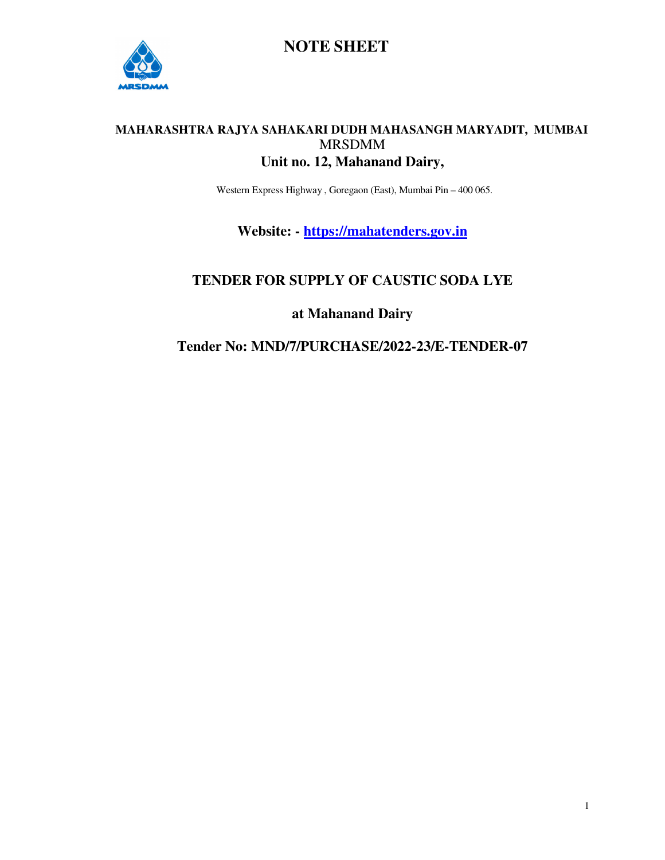

#### **MAHARASHTRA RAJYA SAHAKARI DUDH MAHASANGH MARYADIT, MUMBAI**  MRSDMM **Unit no. 12, Mahanand Dairy,**

Western Express Highway , Goregaon (East), Mumbai Pin – 400 065.

**Website: - https://mahatenders.gov.in**

### **TENDER FOR SUPPLY OF CAUSTIC SODA LYE**

**at Mahanand Dairy** 

**Tender No: MND/7/PURCHASE/2022-23/E-TENDER-07**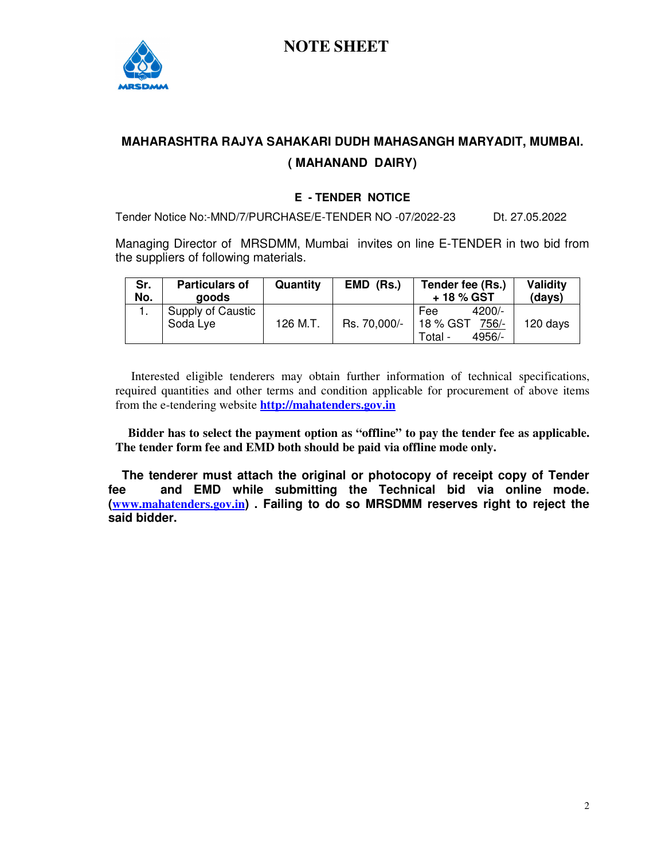

## **MAHARASHTRA RAJYA SAHAKARI DUDH MAHASANGH MARYADIT, MUMBAI. ( MAHANAND DAIRY)**

#### **E - TENDER NOTICE**

Tender Notice No:-MND/7/PURCHASE/E-TENDER NO -07/2022-23 Dt. 27.05.2022

Managing Director of MRSDMM, Mumbai invites on line E-TENDER in two bid from the suppliers of following materials.

| Sr.<br>No. | <b>Particulars of</b><br>aoods | Quantity | <b>EMD</b><br>(Rs.) | Tender fee (Rs.)<br>+ 18 % GST | Validity<br>(days) |
|------------|--------------------------------|----------|---------------------|--------------------------------|--------------------|
|            | Supply of Caustic              |          |                     | $4200/-$<br>Fee                |                    |
|            | Soda Lye                       | 126 M.T. | Rs. 70,000/-        | 18 % GST<br>756/-              | 120 days           |
|            |                                |          |                     | $4956/$ -<br>Total -           |                    |

 Interested eligible tenderers may obtain further information of technical specifications, required quantities and other terms and condition applicable for procurement of above items from the e-tendering website **http://mahatenders.gov.in**

 **Bidder has to select the payment option as "offline" to pay the tender fee as applicable. The tender form fee and EMD both should be paid via offline mode only.** 

 **The tenderer must attach the original or photocopy of receipt copy of Tender fee and EMD while submitting the Technical bid via online mode. (www.mahatenders.gov.in) . Failing to do so MRSDMM reserves right to reject the said bidder.**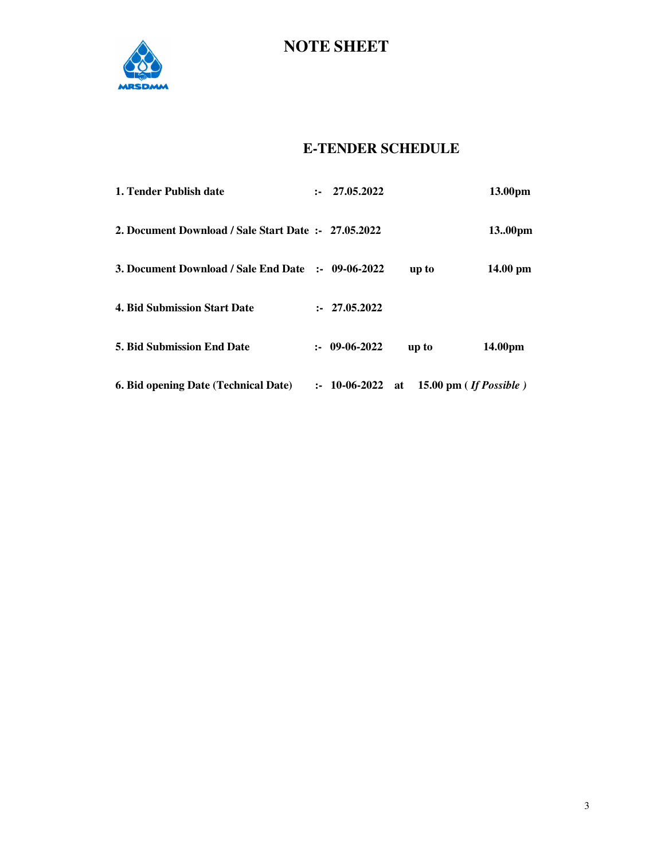

### **E-TENDER SCHEDULE**

| <b>6. Bid opening Date (Technical Date)</b>          | $: 10-06-2022$ at |       | 15.00 pm $($ If Possible $)$ |
|------------------------------------------------------|-------------------|-------|------------------------------|
| <b>5. Bid Submission End Date</b>                    | $: 09-06-2022$    | up to | 14.00pm                      |
| <b>4. Bid Submission Start Date</b>                  | : 27.05.2022      |       |                              |
| 3. Document Download / Sale End Date :- 09-06-2022   |                   | up to | 14.00 pm                     |
| 2. Document Download / Sale Start Date :- 27.05.2022 |                   |       | 13.00pm                      |
| 1. Tender Publish date                               | : 27.05.2022      |       | 13.00pm                      |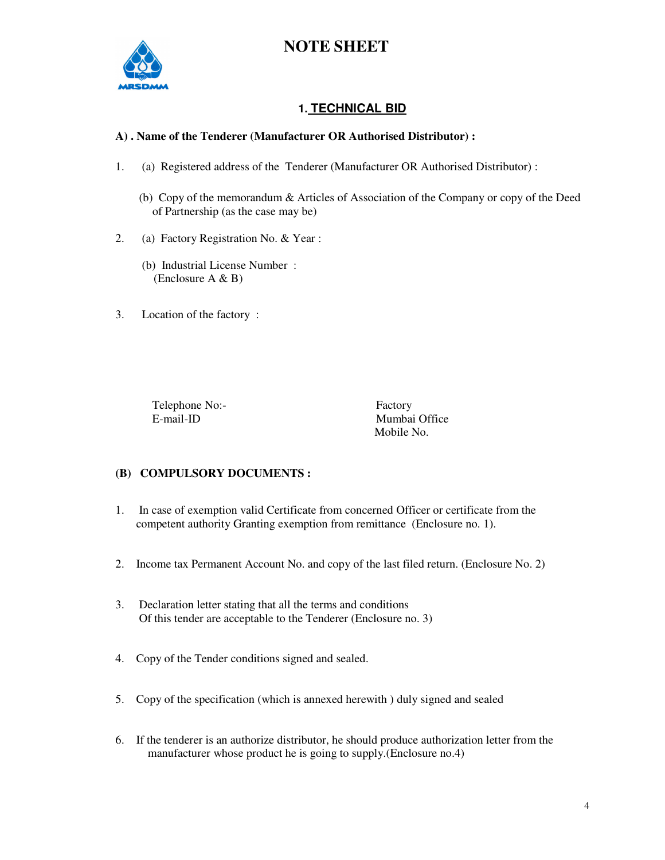

#### **1. TECHNICAL BID**

#### **A) . Name of the Tenderer (Manufacturer OR Authorised Distributor) :**

- 1. (a) Registered address of the Tenderer (Manufacturer OR Authorised Distributor) :
	- (b) Copy of the memorandum & Articles of Association of the Company or copy of the Deed of Partnership (as the case may be)
- 2. (a) Factory Registration No. & Year :
	- (b) Industrial License Number : (Enclosure A & B)
- 3. Location of the factory :

Telephone No:-<br>
E-mail-ID Mumbai

Mumbai Office Mobile No.

#### **(B) COMPULSORY DOCUMENTS :**

- 1. In case of exemption valid Certificate from concerned Officer or certificate from the competent authority Granting exemption from remittance (Enclosure no. 1).
- 2. Income tax Permanent Account No. and copy of the last filed return. (Enclosure No. 2)
- 3. Declaration letter stating that all the terms and conditions Of this tender are acceptable to the Tenderer (Enclosure no. 3)
- 4. Copy of the Tender conditions signed and sealed.
- 5. Copy of the specification (which is annexed herewith ) duly signed and sealed
- 6. If the tenderer is an authorize distributor, he should produce authorization letter from the manufacturer whose product he is going to supply.(Enclosure no.4)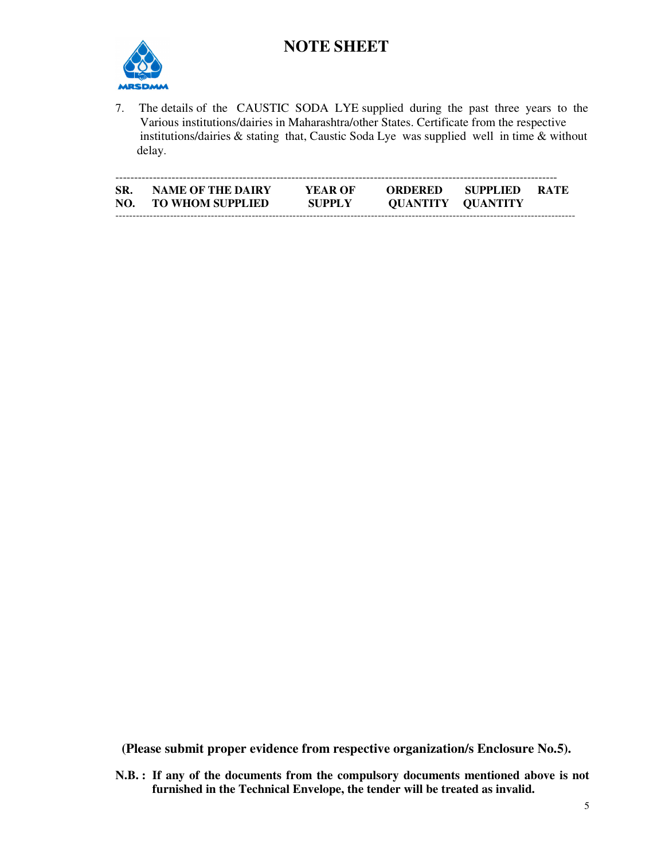

7. The details of the CAUSTIC SODA LYE supplied during the past three years to the Various institutions/dairies in Maharashtra/other States. Certificate from the respective institutions/dairies & stating that, Caustic Soda Lye was supplied well in time & without delay.

| SR.<br>NO. | <b>NAME OF THE DAIRY</b><br><b>TO WHOM SUPPLIED</b> | YEAR OF<br><b>SUPPLY</b> | <b>ORDERED</b><br><b>QUANTITY QUANTITY</b> | - SUPPLIED | <b>RATE</b> |
|------------|-----------------------------------------------------|--------------------------|--------------------------------------------|------------|-------------|

 **(Please submit proper evidence from respective organization/s Enclosure No.5).** 

**N.B. : If any of the documents from the compulsory documents mentioned above is not furnished in the Technical Envelope, the tender will be treated as invalid.**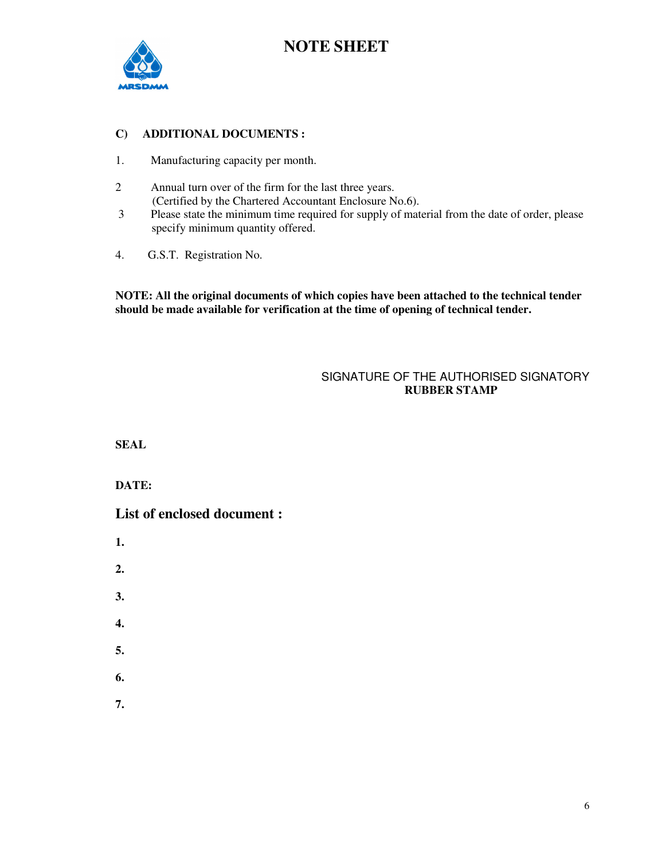

#### **C) ADDITIONAL DOCUMENTS :**

- 1. Manufacturing capacity per month.
- 2 Annual turn over of the firm for the last three years. (Certified by the Chartered Accountant Enclosure No.6).<br>3 Please state the minimum time required for supply of mat
- Please state the minimum time required for supply of material from the date of order, please specify minimum quantity offered.
- 4. G.S.T. Registration No.

**NOTE: All the original documents of which copies have been attached to the technical tender should be made available for verification at the time of opening of technical tender.** 

#### SIGNATURE OF THE AUTHORISED SIGNATORY  **RUBBER STAMP**

**SEAL** 

**DATE:** 

**List of enclosed document :** 

- **1.**
- **2.**
- **3.**
- **4.**
- 
- **5.**
- **6.**
- **7.**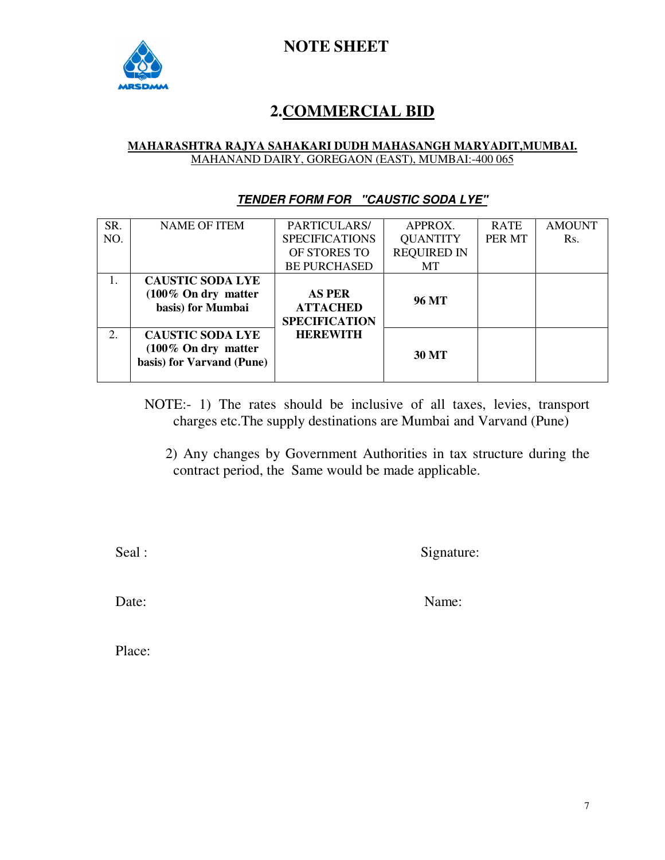

## **2.COMMERCIAL BID**

#### **MAHARASHTRA RAJYA SAHAKARI DUDH MAHASANGH MARYADIT,MUMBAI.** MAHANAND DAIRY, GOREGAON (EAST), MUMBAI:-400 065

#### **TENDER FORM FOR "CAUSTIC SODA LYE"**

| SR. | <b>NAME OF ITEM</b>             | PARTICULARS/          | APPROX.            | <b>RATE</b> | <b>AMOUNT</b> |
|-----|---------------------------------|-----------------------|--------------------|-------------|---------------|
| NO. |                                 | <b>SPECIFICATIONS</b> | <b>QUANTITY</b>    | PER MT      | Rs.           |
|     |                                 | OF STORES TO          | <b>REQUIRED IN</b> |             |               |
|     |                                 | <b>BE PURCHASED</b>   | MT                 |             |               |
|     | <b>CAUSTIC SODA LYE</b>         |                       |                    |             |               |
|     | $(100\% \text{ On dry matter})$ | <b>AS PER</b>         | 96 MT              |             |               |
|     | basis) for Mumbai               | <b>ATTACHED</b>       |                    |             |               |
|     |                                 | <b>SPECIFICATION</b>  |                    |             |               |
| 2.  | <b>CAUSTIC SODA LYE</b>         | <b>HEREWITH</b>       |                    |             |               |
|     | $(100\% \text{ On dry matter})$ |                       | <b>30 MT</b>       |             |               |
|     | basis) for Varvand (Pune)       |                       |                    |             |               |
|     |                                 |                       |                    |             |               |

NOTE:- 1) The rates should be inclusive of all taxes, levies, transport charges etc.The supply destinations are Mumbai and Varvand (Pune)

 2) Any changes by Government Authorities in tax structure during the contract period, the Same would be made applicable.

Seal : Signature: Signature: Signature: Signature: Signature: Signature: Signature: Signature: Signature: Signature: Signature: Signature: Signature: Signature: Signature: Signature: Signature: Signature: Signature: Signat

Date: Name:

Place: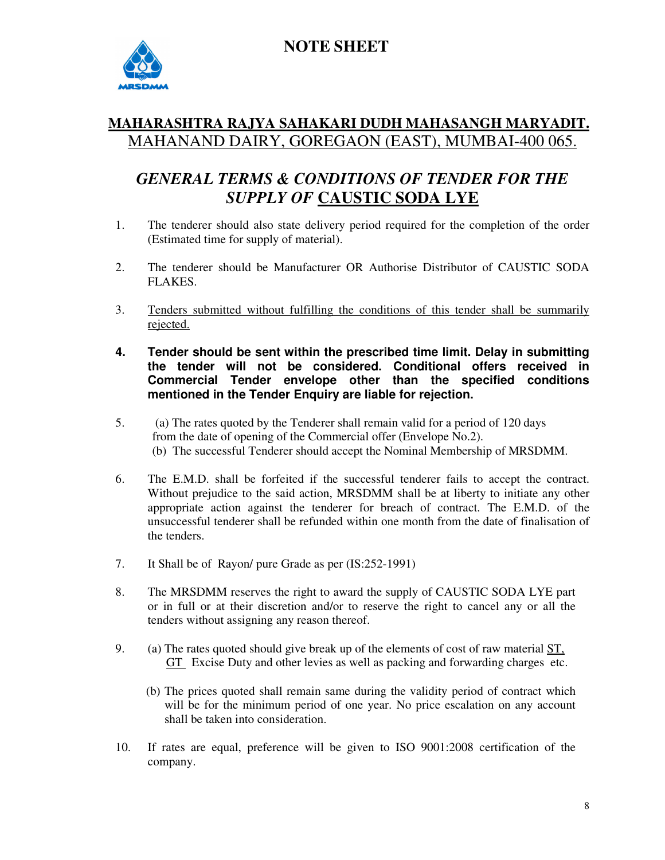



### **MAHARASHTRA RAJYA SAHAKARI DUDH MAHASANGH MARYADIT.** MAHANAND DAIRY, GOREGAON (EAST), MUMBAI-400 065.

## *GENERAL TERMS & CONDITIONS OF TENDER FOR THE SUPPLY OF* **CAUSTIC SODA LYE**

- 1. The tenderer should also state delivery period required for the completion of the order (Estimated time for supply of material).
- 2. The tenderer should be Manufacturer OR Authorise Distributor of CAUSTIC SODA FLAKES.
- 3. Tenders submitted without fulfilling the conditions of this tender shall be summarily rejected.
- **4. Tender should be sent within the prescribed time limit. Delay in submitting the tender will not be considered. Conditional offers received in Commercial Tender envelope other than the specified conditions mentioned in the Tender Enquiry are liable for rejection.**
- 5. (a) The rates quoted by the Tenderer shall remain valid for a period of 120 days from the date of opening of the Commercial offer (Envelope No.2). (b) The successful Tenderer should accept the Nominal Membership of MRSDMM.
- 6. The E.M.D. shall be forfeited if the successful tenderer fails to accept the contract. Without prejudice to the said action, MRSDMM shall be at liberty to initiate any other appropriate action against the tenderer for breach of contract. The E.M.D. of the unsuccessful tenderer shall be refunded within one month from the date of finalisation of the tenders.
- 7. It Shall be of Rayon/ pure Grade as per (IS:252-1991)
- 8. The MRSDMM reserves the right to award the supply of CAUSTIC SODA LYE part or in full or at their discretion and/or to reserve the right to cancel any or all the tenders without assigning any reason thereof.
- 9. (a) The rates quoted should give break up of the elements of cost of raw material ST, GT Excise Duty and other levies as well as packing and forwarding charges etc.
	- (b) The prices quoted shall remain same during the validity period of contract which will be for the minimum period of one year. No price escalation on any account shall be taken into consideration.
- 10. If rates are equal, preference will be given to ISO 9001:2008 certification of the company.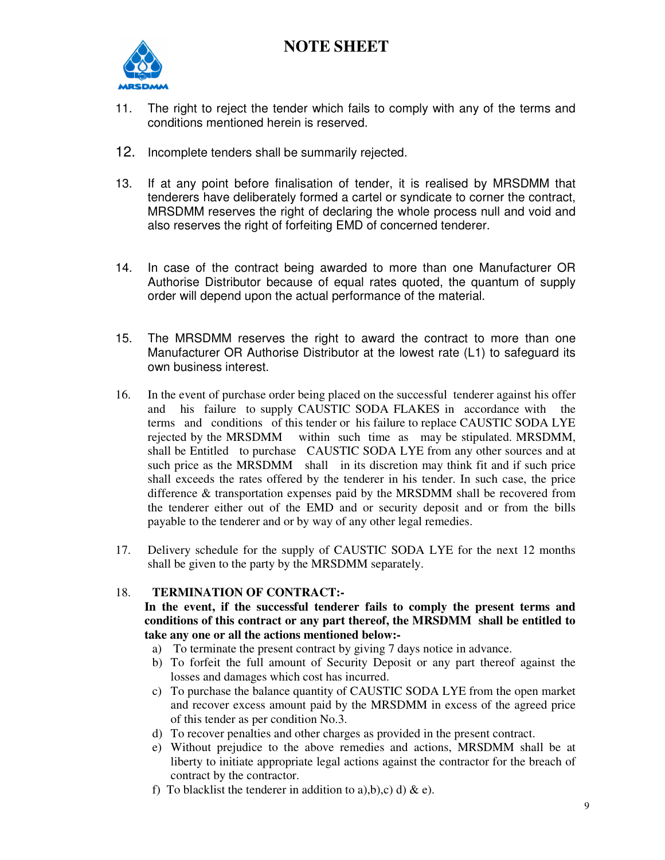

- 11. The right to reject the tender which fails to comply with any of the terms and conditions mentioned herein is reserved.
- 12. Incomplete tenders shall be summarily rejected.
- 13. If at any point before finalisation of tender, it is realised by MRSDMM that tenderers have deliberately formed a cartel or syndicate to corner the contract, MRSDMM reserves the right of declaring the whole process null and void and also reserves the right of forfeiting EMD of concerned tenderer.
- 14. In case of the contract being awarded to more than one Manufacturer OR Authorise Distributor because of equal rates quoted, the quantum of supply order will depend upon the actual performance of the material.
- 15. The MRSDMM reserves the right to award the contract to more than one Manufacturer OR Authorise Distributor at the lowest rate (L1) to safeguard its own business interest.
- 16. In the event of purchase order being placed on the successful tenderer against his offer and his failure to supply CAUSTIC SODA FLAKES in accordance with the terms and conditions of this tender or his failure to replace CAUSTIC SODA LYE rejected by the MRSDMM within such time as may be stipulated. MRSDMM, shall be Entitled to purchase CAUSTIC SODA LYE from any other sources and at such price as the MRSDMM shall in its discretion may think fit and if such price shall exceeds the rates offered by the tenderer in his tender. In such case, the price difference & transportation expenses paid by the MRSDMM shall be recovered from the tenderer either out of the EMD and or security deposit and or from the bills payable to the tenderer and or by way of any other legal remedies.
- 17. Delivery schedule for the supply of CAUSTIC SODA LYE for the next 12 months shall be given to the party by the MRSDMM separately.

#### 18. **TERMINATION OF CONTRACT:-**

**In the event, if the successful tenderer fails to comply the present terms and conditions of this contract or any part thereof, the MRSDMM shall be entitled to take any one or all the actions mentioned below:-** 

- a) To terminate the present contract by giving 7 days notice in advance.
- b) To forfeit the full amount of Security Deposit or any part thereof against the losses and damages which cost has incurred.
- c) To purchase the balance quantity of CAUSTIC SODA LYE from the open market and recover excess amount paid by the MRSDMM in excess of the agreed price of this tender as per condition No.3.
- d) To recover penalties and other charges as provided in the present contract.
- e) Without prejudice to the above remedies and actions, MRSDMM shall be at liberty to initiate appropriate legal actions against the contractor for the breach of contract by the contractor.
- f) To blacklist the tenderer in addition to a), b), c) d) & e).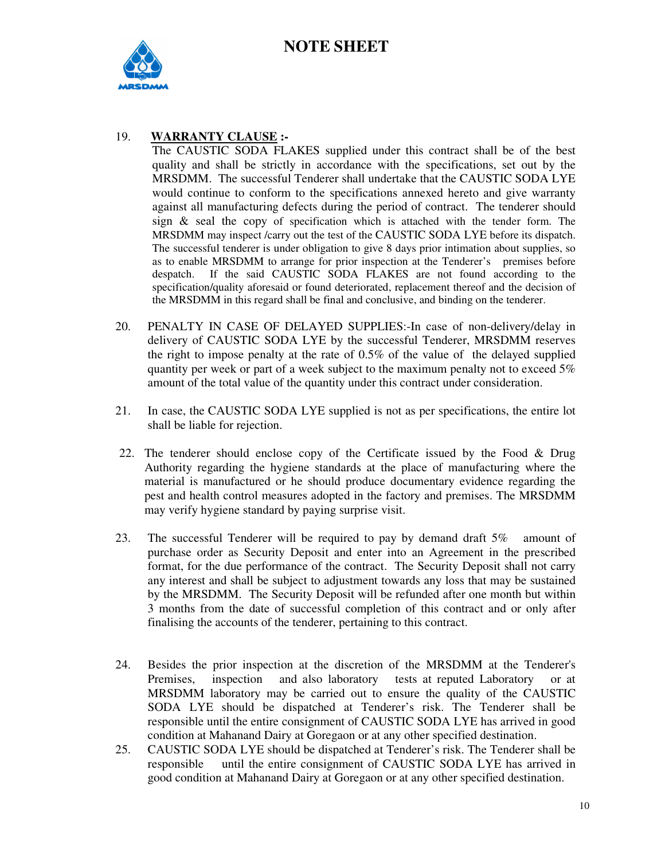

#### 19. **WARRANTY CLAUSE :-**

The CAUSTIC SODA FLAKES supplied under this contract shall be of the best quality and shall be strictly in accordance with the specifications, set out by the MRSDMM. The successful Tenderer shall undertake that the CAUSTIC SODA LYE would continue to conform to the specifications annexed hereto and give warranty against all manufacturing defects during the period of contract. The tenderer should sign  $\&$  seal the copy of specification which is attached with the tender form. The MRSDMM may inspect /carry out the test of the CAUSTIC SODA LYE before its dispatch. The successful tenderer is under obligation to give 8 days prior intimation about supplies, so as to enable MRSDMM to arrange for prior inspection at the Tenderer's premises before despatch. If the said CAUSTIC SODA FLAKES are not found according to the specification/quality aforesaid or found deteriorated, replacement thereof and the decision of the MRSDMM in this regard shall be final and conclusive, and binding on the tenderer.

- 20. PENALTY IN CASE OF DELAYED SUPPLIES:-In case of non-delivery/delay in delivery of CAUSTIC SODA LYE by the successful Tenderer, MRSDMM reserves the right to impose penalty at the rate of 0.5% of the value of the delayed supplied quantity per week or part of a week subject to the maximum penalty not to exceed 5% amount of the total value of the quantity under this contract under consideration.
- 21. In case, the CAUSTIC SODA LYE supplied is not as per specifications, the entire lot shall be liable for rejection.
- 22. The tenderer should enclose copy of the Certificate issued by the Food & Drug Authority regarding the hygiene standards at the place of manufacturing where the material is manufactured or he should produce documentary evidence regarding the pest and health control measures adopted in the factory and premises. The MRSDMM may verify hygiene standard by paying surprise visit.
- 23. The successful Tenderer will be required to pay by demand draft 5% amount of purchase order as Security Deposit and enter into an Agreement in the prescribed format, for the due performance of the contract. The Security Deposit shall not carry any interest and shall be subject to adjustment towards any loss that may be sustained by the MRSDMM. The Security Deposit will be refunded after one month but within 3 months from the date of successful completion of this contract and or only after finalising the accounts of the tenderer, pertaining to this contract.
- 24. Besides the prior inspection at the discretion of the MRSDMM at the Tenderer's Premises, inspection and also laboratory tests at reputed Laboratory or at MRSDMM laboratory may be carried out to ensure the quality of the CAUSTIC SODA LYE should be dispatched at Tenderer's risk. The Tenderer shall be responsible until the entire consignment of CAUSTIC SODA LYE has arrived in good condition at Mahanand Dairy at Goregaon or at any other specified destination.
- 25. CAUSTIC SODA LYE should be dispatched at Tenderer's risk. The Tenderer shall be responsible until the entire consignment of CAUSTIC SODA LYE has arrived in good condition at Mahanand Dairy at Goregaon or at any other specified destination.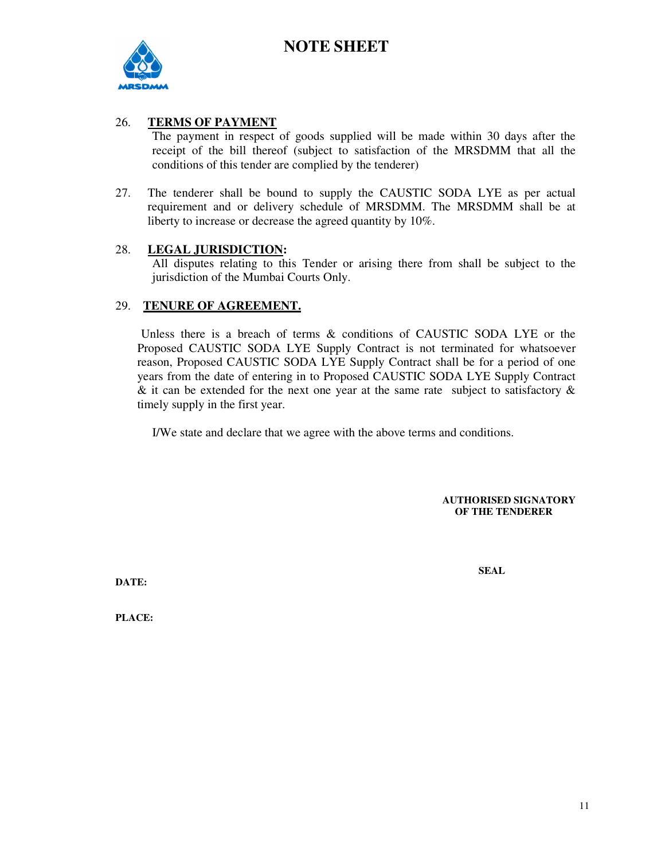

#### 26. **TERMS OF PAYMENT**

The payment in respect of goods supplied will be made within 30 days after the receipt of the bill thereof (subject to satisfaction of the MRSDMM that all the conditions of this tender are complied by the tenderer)

27. The tenderer shall be bound to supply the CAUSTIC SODA LYE as per actual requirement and or delivery schedule of MRSDMM. The MRSDMM shall be at liberty to increase or decrease the agreed quantity by 10%.

#### 28. **LEGAL JURISDICTION:**

All disputes relating to this Tender or arising there from shall be subject to the jurisdiction of the Mumbai Courts Only.

#### 29. **TENURE OF AGREEMENT.**

 Unless there is a breach of terms & conditions of CAUSTIC SODA LYE or the Proposed CAUSTIC SODA LYE Supply Contract is not terminated for whatsoever reason, Proposed CAUSTIC SODA LYE Supply Contract shall be for a period of one years from the date of entering in to Proposed CAUSTIC SODA LYE Supply Contract  $\&$  it can be extended for the next one year at the same rate subject to satisfactory  $\&$ timely supply in the first year.

I/We state and declare that we agree with the above terms and conditions.

**AUTHORISED SIGNATORY OF THE TENDERER** 

**SEAL** 

**DATE:** 

**PLACE:**